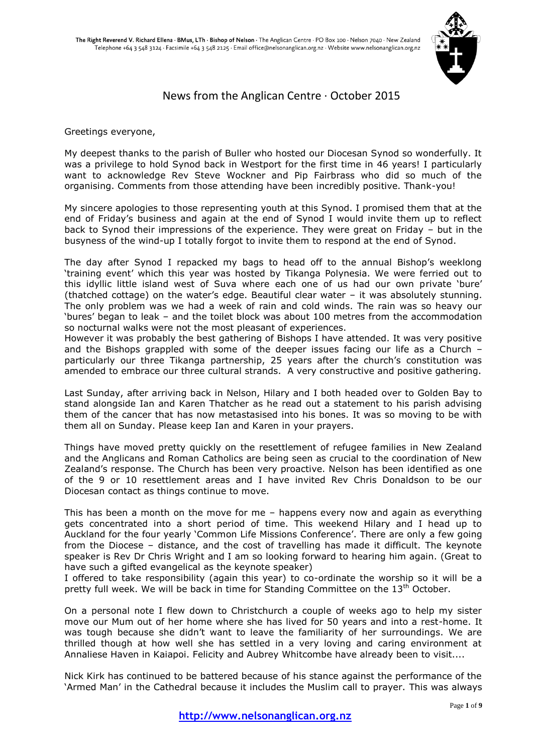

# News from the Anglican Centre · October 2015

Greetings everyone,

My deepest thanks to the parish of Buller who hosted our Diocesan Synod so wonderfully. It was a privilege to hold Synod back in Westport for the first time in 46 years! I particularly want to acknowledge Rev Steve Wockner and Pip Fairbrass who did so much of the organising. Comments from those attending have been incredibly positive. Thank-you!

My sincere apologies to those representing youth at this Synod. I promised them that at the end of Friday's business and again at the end of Synod I would invite them up to reflect back to Synod their impressions of the experience. They were great on Friday – but in the busyness of the wind-up I totally forgot to invite them to respond at the end of Synod.

The day after Synod I repacked my bags to head off to the annual Bishop's weeklong 'training event' which this year was hosted by Tikanga Polynesia. We were ferried out to this idyllic little island west of Suva where each one of us had our own private 'bure' (thatched cottage) on the water's edge. Beautiful clear water – it was absolutely stunning. The only problem was we had a week of rain and cold winds. The rain was so heavy our 'bures' began to leak – and the toilet block was about 100 metres from the accommodation so nocturnal walks were not the most pleasant of experiences.

However it was probably the best gathering of Bishops I have attended. It was very positive and the Bishops grappled with some of the deeper issues facing our life as a Church – particularly our three Tikanga partnership, 25 years after the church's constitution was amended to embrace our three cultural strands. A very constructive and positive gathering.

Last Sunday, after arriving back in Nelson, Hilary and I both headed over to Golden Bay to stand alongside Ian and Karen Thatcher as he read out a statement to his parish advising them of the cancer that has now metastasised into his bones. It was so moving to be with them all on Sunday. Please keep Ian and Karen in your prayers.

Things have moved pretty quickly on the resettlement of refugee families in New Zealand and the Anglicans and Roman Catholics are being seen as crucial to the coordination of New Zealand's response. The Church has been very proactive. Nelson has been identified as one of the 9 or 10 resettlement areas and I have invited Rev Chris Donaldson to be our Diocesan contact as things continue to move.

This has been a month on the move for me – happens every now and again as everything gets concentrated into a short period of time. This weekend Hilary and I head up to Auckland for the four yearly 'Common Life Missions Conference'. There are only a few going from the Diocese – distance, and the cost of travelling has made it difficult. The keynote speaker is Rev Dr Chris Wright and I am so looking forward to hearing him again. (Great to have such a gifted evangelical as the keynote speaker)

I offered to take responsibility (again this year) to co-ordinate the worship so it will be a pretty full week. We will be back in time for Standing Committee on the  $13<sup>th</sup>$  October.

On a personal note I flew down to Christchurch a couple of weeks ago to help my sister move our Mum out of her home where she has lived for 50 years and into a rest-home. It was tough because she didn't want to leave the familiarity of her surroundings. We are thrilled though at how well she has settled in a very loving and caring environment at Annaliese Haven in Kaiapoi. Felicity and Aubrey Whitcombe have already been to visit....

Nick Kirk has continued to be battered because of his stance against the performance of the 'Armed Man' in the Cathedral because it includes the Muslim call to prayer. This was always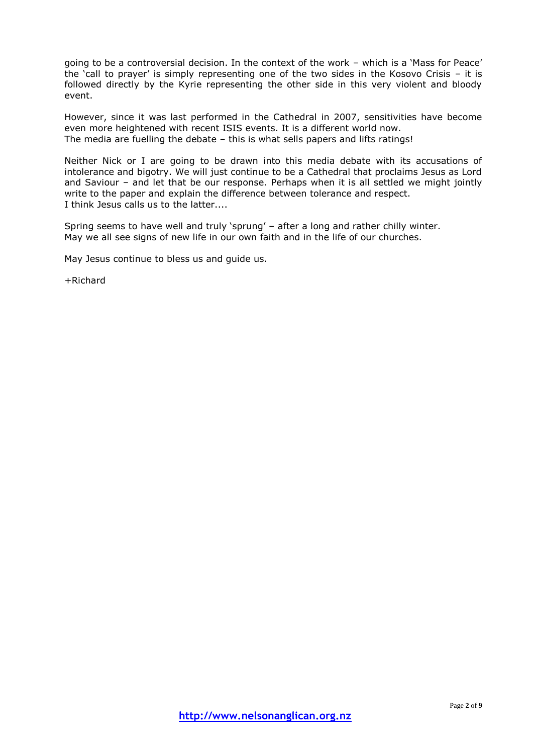going to be a controversial decision. In the context of the work – which is a 'Mass for Peace' the 'call to prayer' is simply representing one of the two sides in the Kosovo Crisis – it is followed directly by the Kyrie representing the other side in this very violent and bloody event.

However, since it was last performed in the Cathedral in 2007, sensitivities have become even more heightened with recent ISIS events. It is a different world now. The media are fuelling the debate – this is what sells papers and lifts ratings!

Neither Nick or I are going to be drawn into this media debate with its accusations of intolerance and bigotry. We will just continue to be a Cathedral that proclaims Jesus as Lord and Saviour – and let that be our response. Perhaps when it is all settled we might jointly write to the paper and explain the difference between tolerance and respect. I think Jesus calls us to the latter....

Spring seems to have well and truly 'sprung' – after a long and rather chilly winter. May we all see signs of new life in our own faith and in the life of our churches.

May Jesus continue to bless us and guide us.

+Richard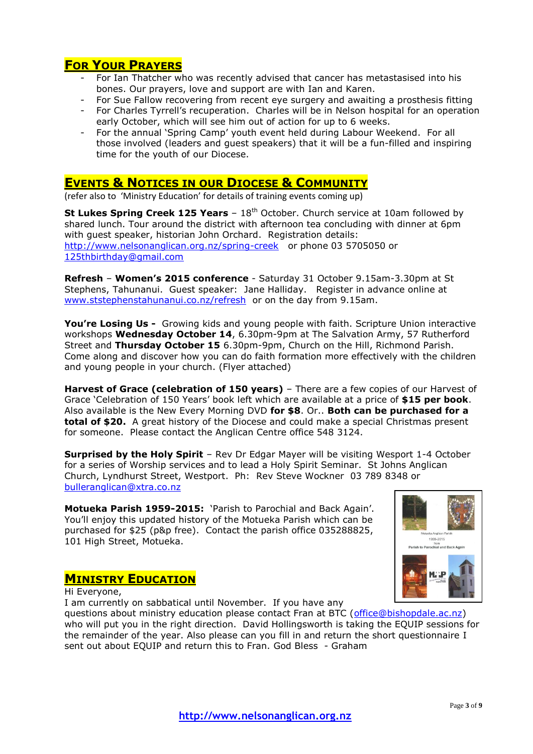# **FOR YOUR PRAYERS**

- For Ian Thatcher who was recently advised that cancer has metastasised into his bones. Our prayers, love and support are with Ian and Karen.
- For Sue Fallow recovering from recent eye surgery and awaiting a prosthesis fitting
- For Charles Tyrrell's recuperation. Charles will be in Nelson hospital for an operation early October, which will see him out of action for up to 6 weeks.
- For the annual 'Spring Camp' youth event held during Labour Weekend. For all those involved (leaders and guest speakers) that it will be a fun-filled and inspiring time for the youth of our Diocese.

# **EVENTS & NOTICES IN OUR DIOCESE & COMMUNITY**

(refer also to 'Ministry Education' for details of training events coming up)

**St Lukes Spring Creek 125 Years** - 18<sup>th</sup> October. Church service at 10am followed by shared lunch. Tour around the district with afternoon tea concluding with dinner at 6pm with guest speaker, historian John Orchard. Registration details: <http://www.nelsonanglican.org.nz/spring-creek>or phone 03 5705050 or [125thbirthday@gmail.com](mailto:125thbirthday@gmail.com)

**Refresh** – **Women's 2015 conference** - Saturday 31 October 9.15am-3.30pm at St Stephens, Tahunanui. Guest speaker: Jane Halliday. Register in advance online at [www.ststephenstahunanui.co.nz/refresh](http://www.ststephenstahunanui.co.nz/refresh) or on the day from 9.15am.

**You're Losing Us -** Growing kids and young people with faith. Scripture Union interactive workshops **Wednesday October 14**, 6.30pm-9pm at The Salvation Army, 57 Rutherford Street and **Thursday October 15** 6.30pm-9pm, Church on the Hill, Richmond Parish. Come along and discover how you can do faith formation more effectively with the children and young people in your church. (Flyer attached)

**Harvest of Grace (celebration of 150 years)** – There are a few copies of our Harvest of Grace 'Celebration of 150 Years' book left which are available at a price of **\$15 per book**. Also available is the New Every Morning DVD **for \$8**. Or.. **Both can be purchased for a total of \$20.** A great history of the Diocese and could make a special Christmas present for someone. Please contact the Anglican Centre office 548 3124.

**Surprised by the Holy Spirit** – Rev Dr Edgar Mayer will be visiting Wesport 1-4 October for a series of Worship services and to lead a Holy Spirit Seminar. St Johns Anglican Church, Lyndhurst Street, Westport. Ph: Rev Steve Wockner 03 789 8348 or [bulleranglican@xtra.co.nz](mailto:bulleranglican@xtra.co.nz)

**Motueka Parish 1959-2015:** 'Parish to Parochial and Back Again'. You'll enjoy this updated history of the Motueka Parish which can be purchased for \$25 (p&p free). Contact the parish office 035288825, 101 High Street, Motueka.



# **MINISTRY EDUCATION**

Hi Everyone,

I am currently on sabbatical until November. If you have any

questions about ministry education please contact Fran at BTC [\(office@bishopdale.ac.nz\)](mailto:office@bishopdale.ac.nz) who will put you in the right direction. David Hollingsworth is taking the EQUIP sessions for the remainder of the year. Also please can you fill in and return the short questionnaire I sent out about EQUIP and return this to Fran. God Bless - Graham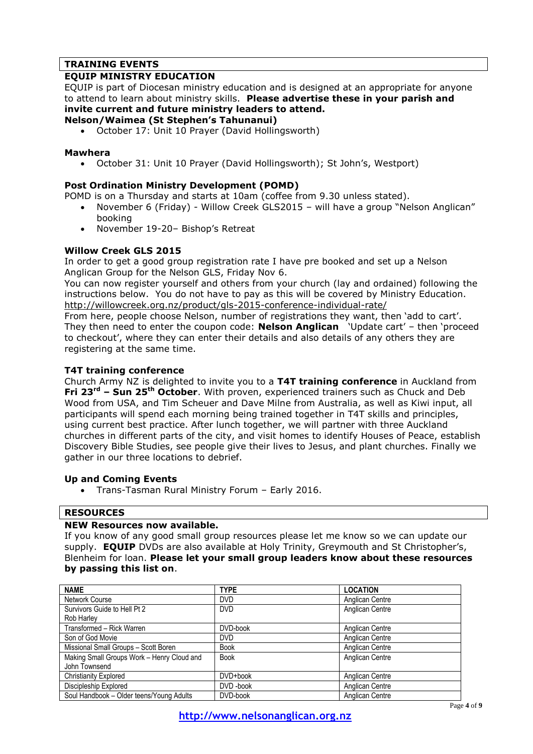## **TRAINING EVENTS**

### **EQUIP MINISTRY EDUCATION**

EQUIP is part of Diocesan ministry education and is designed at an appropriate for anyone to attend to learn about ministry skills. **Please advertise these in your parish and invite current and future ministry leaders to attend.**

#### **Nelson/Waimea (St Stephen's Tahunanui)**

October 17: Unit 10 Prayer (David Hollingsworth)

#### **Mawhera**

October 31: Unit 10 Prayer (David Hollingsworth); St John's, Westport)

### **Post Ordination Ministry Development (POMD)**

POMD is on a Thursday and starts at 10am (coffee from 9.30 unless stated).

- November 6 (Friday) Willow Creek GLS2015 will have a group "Nelson Anglican" booking
	- November 19-20– Bishop's Retreat

#### **Willow Creek GLS 2015**

In order to get a good group registration rate I have pre booked and set up a Nelson Anglican Group for the Nelson GLS, Friday Nov 6.

You can now register yourself and others from your church (lay and ordained) following the instructions below. You do not have to pay as this will be covered by Ministry Education. <http://willowcreek.org.nz/product/gls-2015-conference-individual-rate/>

From here, people choose Nelson, number of registrations they want, then 'add to cart'. They then need to enter the coupon code: **Nelson Anglican** 'Update cart' – then 'proceed to checkout', where they can enter their details and also details of any others they are registering at the same time.

### **T4T training conference**

Church Army NZ is delighted to invite you to a **T4T training conference** in Auckland from **Fri 23rd – Sun 25th October**. With proven, experienced trainers such as Chuck and Deb Wood from USA, and Tim Scheuer and Dave Milne from Australia, as well as Kiwi input, all participants will spend each morning being trained together in T4T skills and principles, using current best practice. After lunch together, we will partner with three Auckland churches in different parts of the city, and visit homes to identify Houses of Peace, establish Discovery Bible Studies, see people give their lives to Jesus, and plant churches. Finally we gather in our three locations to debrief.

### **Up and Coming Events**

Trans-Tasman Rural Ministry Forum – Early 2016.

### **RESOURCES**

### **NEW Resources now available.**

If you know of any good small group resources please let me know so we can update our supply. **EQUIP** DVDs are also available at Holy Trinity, Greymouth and St Christopher's, Blenheim for loan. **Please let your small group leaders know about these resources by passing this list on**.

| <b>NAME</b>                                | <b>TYPE</b> | <b>LOCATION</b> |
|--------------------------------------------|-------------|-----------------|
| Network Course                             | <b>DVD</b>  | Anglican Centre |
| Survivors Guide to Hell Pt 2               | <b>DVD</b>  | Anglican Centre |
| Rob Harley                                 |             |                 |
| Transformed - Rick Warren                  | DVD-book    | Anglican Centre |
| Son of God Movie                           | <b>DVD</b>  | Anglican Centre |
| Missional Small Groups - Scott Boren       | <b>Book</b> | Anglican Centre |
| Making Small Groups Work - Henry Cloud and | <b>Book</b> | Anglican Centre |
| John Townsend                              |             |                 |
| <b>Christianity Explored</b>               | DVD+book    | Anglican Centre |
| Discipleship Explored                      | DVD-book    | Anglican Centre |
| Soul Handbook - Older teens/Young Adults   | DVD-book    | Anglican Centre |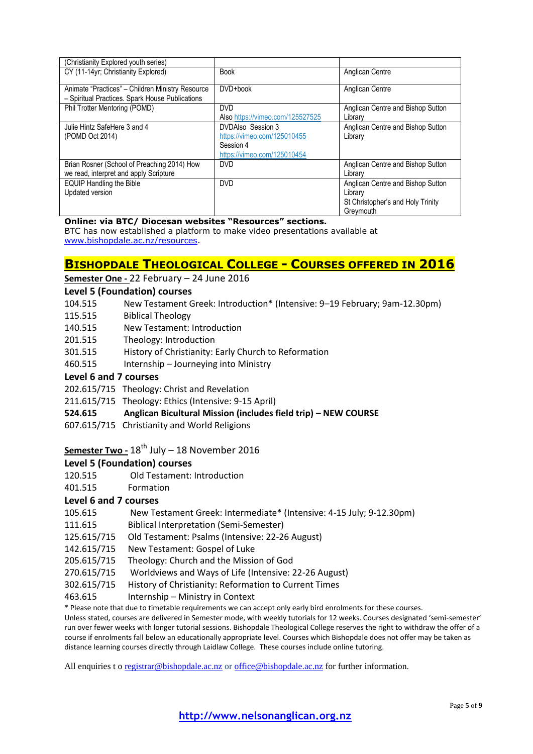| (Christianity Explored youth series)             |                                  |                                   |
|--------------------------------------------------|----------------------------------|-----------------------------------|
| CY (11-14yr; Christianity Explored)              | <b>Book</b>                      | <b>Anglican Centre</b>            |
|                                                  |                                  |                                   |
| Animate "Practices" - Children Ministry Resource | DVD+book                         | <b>Anglican Centre</b>            |
| - Spiritual Practices. Spark House Publications  |                                  |                                   |
| Phil Trotter Mentoring (POMD)                    | <b>DVD</b>                       | Anglican Centre and Bishop Sutton |
|                                                  | Also https://vimeo.com/125527525 | Library                           |
| Julie Hintz SafeHere 3 and 4                     | DVDAIso Session 3                | Anglican Centre and Bishop Sutton |
| (POMD Oct 2014)                                  | https://vimeo.com/125010455      | Library                           |
|                                                  | Session 4                        |                                   |
|                                                  | https://vimeo.com/125010454      |                                   |
| Brian Rosner (School of Preaching 2014) How      | <b>DVD</b>                       | Anglican Centre and Bishop Sutton |
| we read, interpret and apply Scripture           |                                  | Library                           |
| <b>EQUIP Handling the Bible</b>                  | <b>DVD</b>                       | Anglican Centre and Bishop Sutton |
| Updated version                                  |                                  | Library                           |
|                                                  |                                  | St Christopher's and Holy Trinity |
|                                                  |                                  | Greymouth                         |

#### **Online: via BTC/ Diocesan websites "Resources" sections.**

BTC has now established a platform to make video presentations available at [www.bishopdale.ac.nz/resources.](http://www.bishopdale.ac.nz/resources)

### **BISHOPDALE THEOLOGICAL COLLEGE - COURSES OFFERED IN 2016**

### **Semester One -** 22 February – 24 June 2016

#### **Level 5 (Foundation) courses**

- 104.515 New Testament Greek: Introduction\* (Intensive: 9–19 February; 9am-12.30pm)
- 115.515 Biblical Theology
- 140.515 New Testament: Introduction
- 201.515 Theology: Introduction
- 301.515 History of Christianity: Early Church to Reformation
- 460.515 Internship Journeying into Ministry

### **Level 6 and 7 courses**

- 202.615/715 Theology: Christ and Revelation
- 211.615/715 Theology: Ethics (Intensive: 9-15 April)

### **524.615 Anglican Bicultural Mission (includes field trip) – NEW COURSE**

607.615/715 Christianity and World Religions

# **Semester Two - 18<sup>th</sup> July – 18 November 2016**

### **Level 5 (Foundation) courses**

- 120.515 Old Testament: Introduction
- 401.515 Formation

### **Level 6 and 7 courses**

- 105.615 New Testament Greek: Intermediate\* (Intensive: 4-15 July; 9-12.30pm)
- 111.615 Biblical Interpretation (Semi-Semester)
- 125.615/715 Old Testament: Psalms (Intensive: 22-26 August)
- 142.615/715 New Testament: Gospel of Luke
- 205.615/715 Theology: Church and the Mission of God
- 270.615/715 Worldviews and Ways of Life (Intensive: 22-26 August)
- 302.615/715 History of Christianity: Reformation to Current Times
- 463.615 Internship Ministry in Context

\* Please note that due to timetable requirements we can accept only early bird enrolments for these courses.

Unless stated, courses are delivered in Semester mode, with weekly tutorials for 12 weeks. Courses designated 'semi-semester' run over fewer weeks with longer tutorial sessions. Bishopdale Theological College reserves the right to withdraw the offer of a course if enrolments fall below an educationally appropriate level. Courses which Bishopdale does not offer may be taken as distance learning courses directly through Laidlaw College. These courses include online tutoring.

All enquiries t o [registrar@bishopdale.ac.nz](mailto:registrar@bishopdale.ac.nz) o[r office@bishopdale.ac.nz](mailto:office@bishopdale.ac.nz) for further information.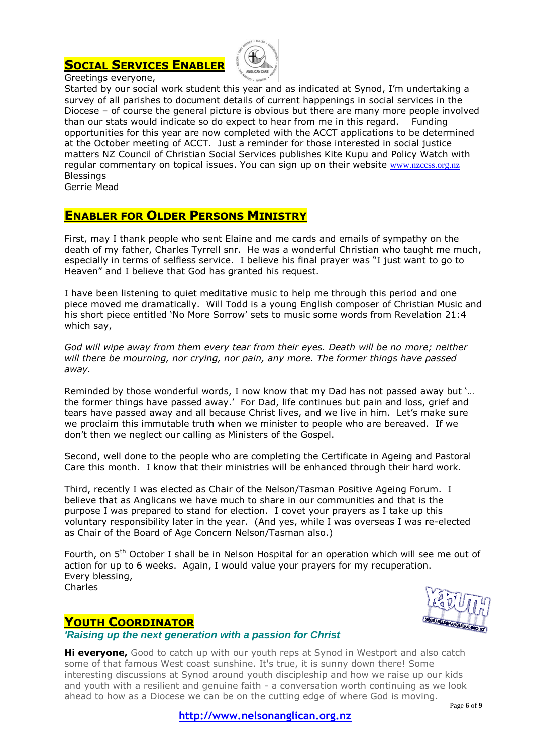# **SOCIAL SERVICES ENABLER**



Greetings everyone,

Started by our social work student this year and as indicated at Synod, I'm undertaking a survey of all parishes to document details of current happenings in social services in the Diocese – of course the general picture is obvious but there are many more people involved than our stats would indicate so do expect to hear from me in this regard. Funding opportunities for this year are now completed with the ACCT applications to be determined at the October meeting of ACCT. Just a reminder for those interested in social justice matters NZ Council of Christian Social Services publishes Kite Kupu and Policy Watch with regular commentary on topical issues. You can sign up on their website [www.nzccss.org.nz](http://www.nzccss.org.nz/) **Blessings** 

Gerrie Mead

# **ENABLER FOR OLDER PERSONS MINISTRY**

First, may I thank people who sent Elaine and me cards and emails of sympathy on the death of my father, Charles Tyrrell snr. He was a wonderful Christian who taught me much, especially in terms of selfless service. I believe his final prayer was "I just want to go to Heaven" and I believe that God has granted his request.

I have been listening to quiet meditative music to help me through this period and one piece moved me dramatically. Will Todd is a young English composer of Christian Music and his short piece entitled 'No More Sorrow' sets to music some words from Revelation 21:4 which say,

*God will wipe away from them every tear from their eyes. Death will be no more; neither will there be mourning, nor crying, nor pain, any more. The former things have passed away.*

Reminded by those wonderful words, I now know that my Dad has not passed away but '… the former things have passed away.' For Dad, life continues but pain and loss, grief and tears have passed away and all because Christ lives, and we live in him. Let's make sure we proclaim this immutable truth when we minister to people who are bereaved. If we don't then we neglect our calling as Ministers of the Gospel.

Second, well done to the people who are completing the Certificate in Ageing and Pastoral Care this month. I know that their ministries will be enhanced through their hard work.

Third, recently I was elected as Chair of the Nelson/Tasman Positive Ageing Forum. I believe that as Anglicans we have much to share in our communities and that is the purpose I was prepared to stand for election. I covet your prayers as I take up this voluntary responsibility later in the year. (And yes, while I was overseas I was re-elected as Chair of the Board of Age Concern Nelson/Tasman also.)

Fourth, on 5<sup>th</sup> October I shall be in Nelson Hospital for an operation which will see me out of action for up to 6 weeks. Again, I would value your prayers for my recuperation. Every blessing, Charles



# **YOUTH COORDINATOR**

*'Raising up the next generation with a passion for Christ*

**Hi everyone,** Good to catch up with our youth reps at Synod in Westport and also catch some of that famous West coast sunshine. It's true, it is sunny down there! Some interesting discussions at Synod around youth discipleship and how we raise up our kids and youth with a resilient and genuine faith - a conversation worth continuing as we look ahead to how as a Diocese we can be on the cutting edge of where God is moving.

**http://www.nelsonanglican.org.nz**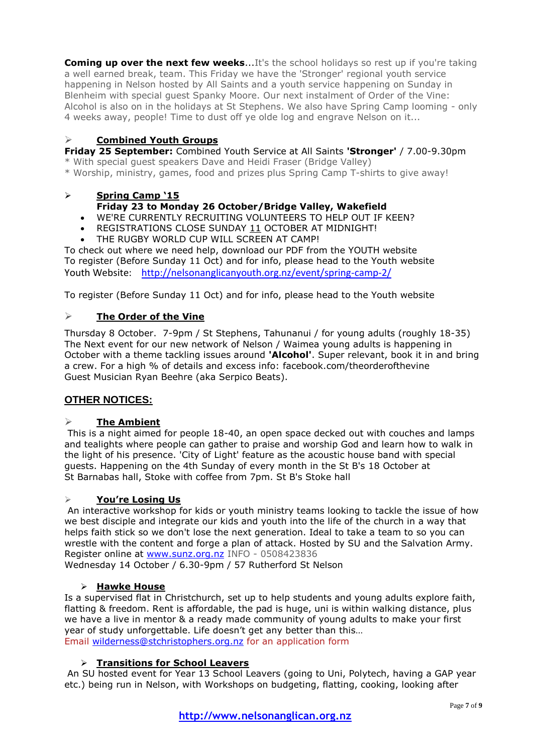**Coming up over the next few weeks...**It's the school holidays so rest up if you're taking a well earned break, team. This Friday we have the 'Stronger' regional youth service happening in Nelson hosted by All Saints and a youth service happening on Sunday in Blenheim with special guest Spanky Moore. Our next instalment of Order of the Vine: Alcohol is also on in the holidays at St Stephens. We also have Spring Camp looming - only 4 weeks away, people! Time to dust off ye olde log and engrave Nelson on it...

### **Combined Youth Groups**

**Friday 25 September:** Combined Youth Service at All Saints **'Stronger'** / 7.00-9.30pm

\* With special guest speakers Dave and Heidi Fraser (Bridge Valley)

\* Worship, ministry, games, food and prizes plus Spring Camp T-shirts to give away!

### **Spring Camp '15 Friday 23 to Monday 26 October/Bridge Valley, Wakefield**

- WE'RE CURRENTLY RECRUITING VOLUNTEERS TO HELP OUT IF KEEN?
- REGISTRATIONS CLOSE SUNDAY 11 OCTOBER AT MIDNIGHT!
- THE RUGBY WORLD CUP WILL SCREEN AT CAMP!

To check out where we need help, download our PDF from the YOUTH website To register (Before Sunday 11 Oct) and for info, please head to the Youth website Youth Website: <http://nelsonanglicanyouth.org.nz/event/spring-camp-2/>

To register (Before Sunday 11 Oct) and for info, please head to the Youth website

### **The Order of the Vine**

Thursday 8 October. 7-9pm / St Stephens, Tahunanui / for young adults (roughly 18-35) The Next event for our new network of Nelson / Waimea young adults is happening in October with a theme tackling issues around **'Alcohol'**. Super relevant, book it in and bring a crew. For a high % of details and excess info: facebook.com/theorderofthevine Guest Musician Ryan Beehre (aka Serpico Beats).

### **OTHER NOTICES:**

### **The Ambient**

This is a night aimed for people 18-40, an open space decked out with couches and lamps and tealights where people can gather to praise and worship God and learn how to walk in the light of his presence. 'City of Light' feature as the acoustic house band with special guests. Happening on the 4th Sunday of every month in the St B's 18 October at St Barnabas hall, Stoke with coffee from 7pm. St B's Stoke hall

### **You're Losing Us**

An interactive workshop for kids or youth ministry teams looking to tackle the issue of how we best disciple and integrate our kids and youth into the life of the church in a way that helps faith stick so we don't lose the next generation. Ideal to take a team to so you can wrestle with the content and forge a plan of attack. Hosted by SU and the Salvation Army. Register online at [www.sunz.org.nz](http://www.sunz.org.nz/) INFO - 0508423836 Wednesday 14 October / 6.30-9pm / 57 Rutherford St Nelson

### **Hawke House**

Is a supervised flat in Christchurch, set up to help students and young adults explore faith, flatting & freedom. Rent is affordable, the pad is huge, uni is within walking distance, plus we have a live in mentor & a ready made community of young adults to make your first year of study unforgettable. Life doesn't get any better than this… Email [wilderness@stchristophers.org.nz](mailto:wilderness@stchristophers.org.nz) for an application form

### **Transitions for School Leavers**

An SU hosted event for Year 13 School Leavers (going to Uni, Polytech, having a GAP year etc.) being run in Nelson, with Workshops on budgeting, flatting, cooking, looking after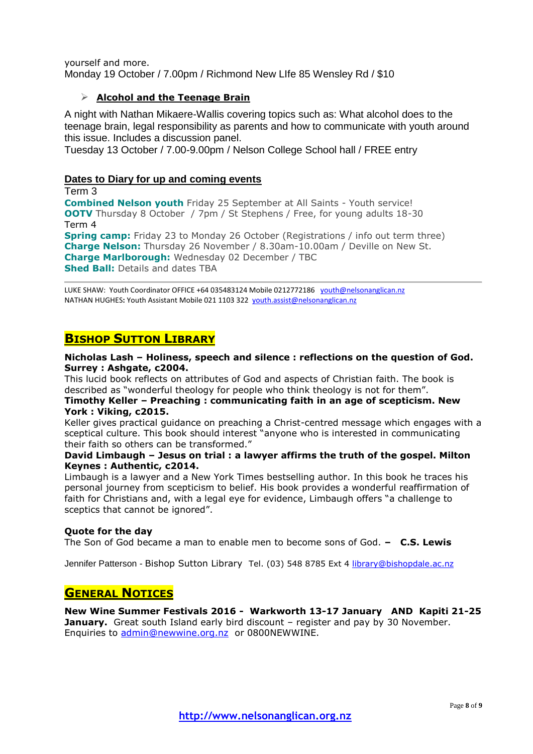yourself and more. Monday 19 October / 7.00pm / Richmond New LIfe 85 Wensley Rd / \$10

### **Alcohol and the Teenage Brain**

A night with Nathan Mikaere-Wallis covering topics such as: What alcohol does to the teenage brain, legal responsibility as parents and how to communicate with youth around this issue. Includes a discussion panel.

Tuesday 13 October / 7.00-9.00pm / Nelson College School hall / FREE entry

### **Dates to Diary for up and coming events**

Term 3 **Combined Nelson youth** Friday 25 September at All Saints - Youth service! **OOTV** Thursday 8 October / 7pm / St Stephens / Free, for young adults 18-30 Term 4 **Spring camp:** Friday 23 to Monday 26 October (Registrations / info out term three) **Charge Nelson:** Thursday 26 November / 8.30am-10.00am / Deville on New St. **Charge Marlborough:** Wednesday 02 December / TBC **Shed Ball:** Details and dates TBA

LUKE SHAW: Youth Coordinator OFFICE +64 035483124 Mobile 0212772186 [youth@nelsonanglican.nz](mailto:youth@nelsonanglican.nz) NATHAN HUGHES**:** Youth Assistant Mobile 021 1103 322 [youth.assist@nelsonanglican.nz](mailto:youth.assist@nelsonanglican.nz)

# **BISHOP SUTTON LIBRARY**

### **Nicholas Lash – Holiness, speech and silence : reflections on the question of God. Surrey : Ashgate, c2004.**

This lucid book reflects on attributes of God and aspects of Christian faith. The book is described as "wonderful theology for people who think theology is not for them".

**Timothy Keller – Preaching : communicating faith in an age of scepticism. New York : Viking, c2015.**

Keller gives practical guidance on preaching a Christ-centred message which engages with a sceptical culture. This book should interest "anyone who is interested in communicating their faith so others can be transformed."

### **David Limbaugh – Jesus on trial : a lawyer affirms the truth of the gospel. Milton Keynes : Authentic, c2014.**

Limbaugh is a lawyer and a New York Times bestselling author. In this book he traces his personal journey from scepticism to belief. His book provides a wonderful reaffirmation of faith for Christians and, with a legal eye for evidence, Limbaugh offers "a challenge to sceptics that cannot be ignored".

### **Quote for the day**

The Son of God became a man to enable men to become sons of God. **– C.S. Lewis**

Jennifer Patterson - Bishop Sutton Library Tel. (03) 548 8785 Ext 4 [library@bishopdale.ac.nz](mailto:library@bishopdale.ac.nz)

# **GENERAL NOTICES**

**New Wine Summer Festivals 2016 - Warkworth 13-17 January AND Kapiti 21-25 January.** Great south Island early bird discount – register and pay by 30 November. Enquiries to [admin@newwine.org.nz](mailto:admin@newwine.org.nz) or 0800NEWWINE.